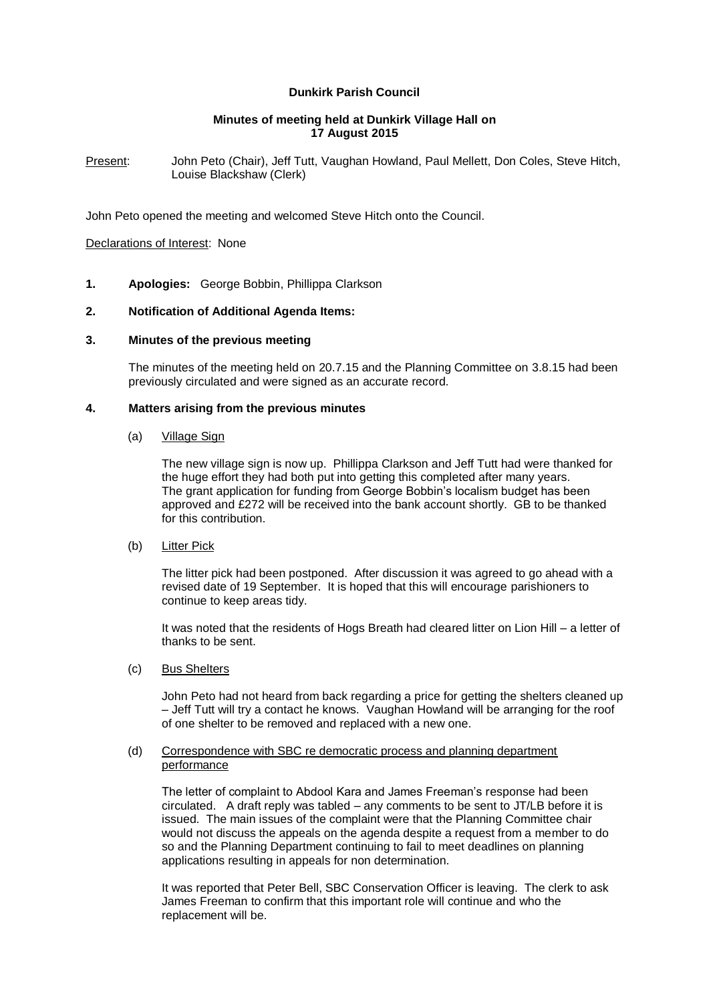# **Dunkirk Parish Council**

## **Minutes of meeting held at Dunkirk Village Hall on 17 August 2015**

Present: John Peto (Chair), Jeff Tutt, Vaughan Howland, Paul Mellett, Don Coles, Steve Hitch, Louise Blackshaw (Clerk)

John Peto opened the meeting and welcomed Steve Hitch onto the Council.

#### Declarations of Interest: None

**1. Apologies:** George Bobbin, Phillippa Clarkson

#### **2. Notification of Additional Agenda Items:**

## **3. Minutes of the previous meeting**

The minutes of the meeting held on 20.7.15 and the Planning Committee on 3.8.15 had been previously circulated and were signed as an accurate record.

#### **4. Matters arising from the previous minutes**

#### (a) Village Sign

The new village sign is now up. Phillippa Clarkson and Jeff Tutt had were thanked for the huge effort they had both put into getting this completed after many years. The grant application for funding from George Bobbin's localism budget has been approved and £272 will be received into the bank account shortly. GB to be thanked for this contribution.

# (b) Litter Pick

The litter pick had been postponed. After discussion it was agreed to go ahead with a revised date of 19 September. It is hoped that this will encourage parishioners to continue to keep areas tidy.

It was noted that the residents of Hogs Breath had cleared litter on Lion Hill – a letter of thanks to be sent.

#### (c) Bus Shelters

John Peto had not heard from back regarding a price for getting the shelters cleaned up – Jeff Tutt will try a contact he knows. Vaughan Howland will be arranging for the roof of one shelter to be removed and replaced with a new one.

#### (d) Correspondence with SBC re democratic process and planning department performance

The letter of complaint to Abdool Kara and James Freeman's response had been circulated. A draft reply was tabled – any comments to be sent to JT/LB before it is issued. The main issues of the complaint were that the Planning Committee chair would not discuss the appeals on the agenda despite a request from a member to do so and the Planning Department continuing to fail to meet deadlines on planning applications resulting in appeals for non determination.

It was reported that Peter Bell, SBC Conservation Officer is leaving. The clerk to ask James Freeman to confirm that this important role will continue and who the replacement will be.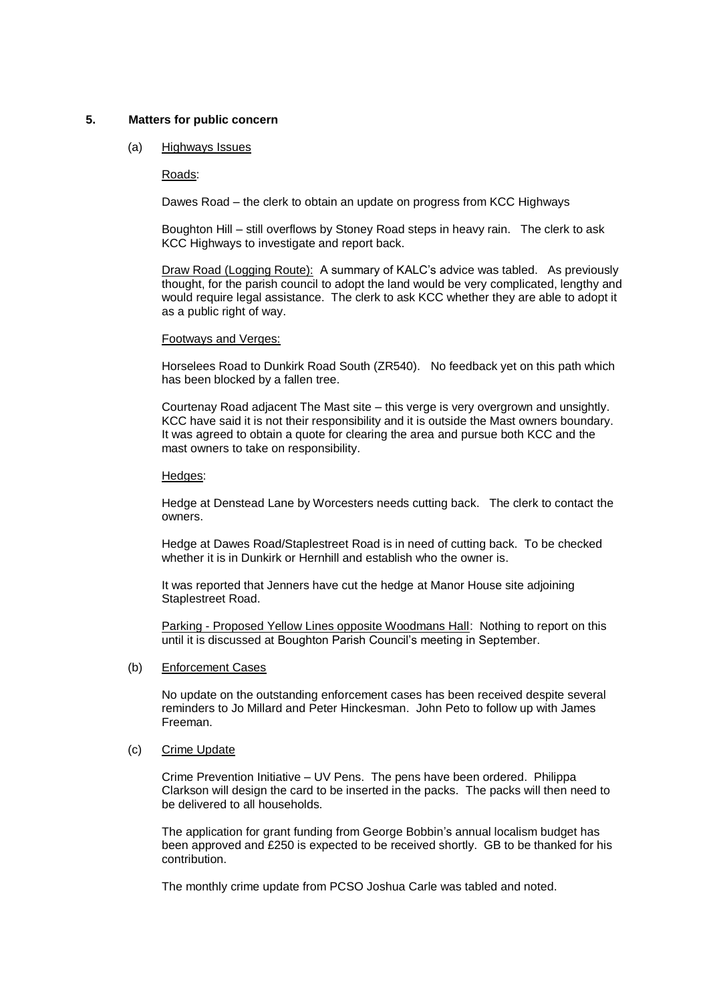## **5. Matters for public concern**

## (a) Highways Issues

## Roads:

Dawes Road – the clerk to obtain an update on progress from KCC Highways

Boughton Hill – still overflows by Stoney Road steps in heavy rain. The clerk to ask KCC Highways to investigate and report back.

Draw Road (Logging Route): A summary of KALC's advice was tabled. As previously thought, for the parish council to adopt the land would be very complicated, lengthy and would require legal assistance. The clerk to ask KCC whether they are able to adopt it as a public right of way.

## Footways and Verges:

Horselees Road to Dunkirk Road South (ZR540). No feedback yet on this path which has been blocked by a fallen tree.

Courtenay Road adjacent The Mast site – this verge is very overgrown and unsightly. KCC have said it is not their responsibility and it is outside the Mast owners boundary. It was agreed to obtain a quote for clearing the area and pursue both KCC and the mast owners to take on responsibility.

## Hedges:

Hedge at Denstead Lane by Worcesters needs cutting back. The clerk to contact the owners.

Hedge at Dawes Road/Staplestreet Road is in need of cutting back. To be checked whether it is in Dunkirk or Hernhill and establish who the owner is.

It was reported that Jenners have cut the hedge at Manor House site adjoining Staplestreet Road.

Parking - Proposed Yellow Lines opposite Woodmans Hall: Nothing to report on this until it is discussed at Boughton Parish Council's meeting in September.

## (b) Enforcement Cases

No update on the outstanding enforcement cases has been received despite several reminders to Jo Millard and Peter Hinckesman. John Peto to follow up with James Freeman.

# (c) Crime Update

Crime Prevention Initiative – UV Pens. The pens have been ordered. Philippa Clarkson will design the card to be inserted in the packs. The packs will then need to be delivered to all households.

The application for grant funding from George Bobbin's annual localism budget has been approved and £250 is expected to be received shortly. GB to be thanked for his contribution.

The monthly crime update from PCSO Joshua Carle was tabled and noted.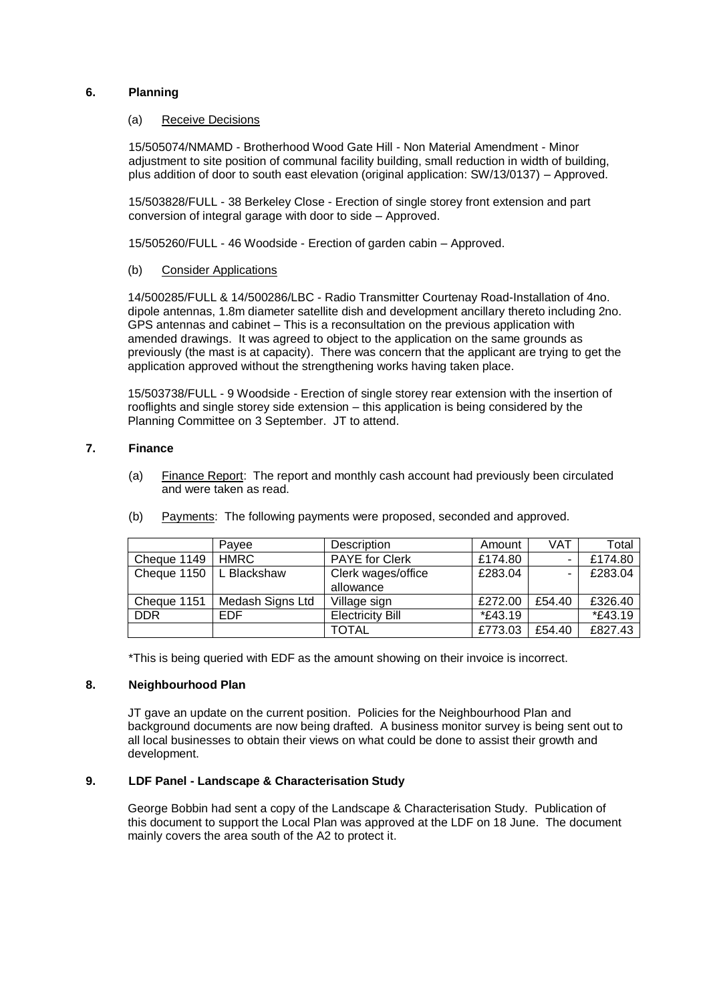# **6. Planning**

#### (a) Receive Decisions

15/505074/NMAMD - Brotherhood Wood Gate Hill - Non Material Amendment - Minor adjustment to site position of communal facility building, small reduction in width of building, plus addition of door to south east elevation (original application: SW/13/0137) – Approved.

15/503828/FULL - 38 Berkeley Close - Erection of single storey front extension and part conversion of integral garage with door to side – Approved.

15/505260/FULL - 46 Woodside - Erection of garden cabin – Approved.

## (b) Consider Applications

14/500285/FULL & 14/500286/LBC - Radio Transmitter Courtenay Road-Installation of 4no. dipole antennas, 1.8m diameter satellite dish and development ancillary thereto including 2no. GPS antennas and cabinet – This is a reconsultation on the previous application with amended drawings. It was agreed to object to the application on the same grounds as previously (the mast is at capacity). There was concern that the applicant are trying to get the application approved without the strengthening works having taken place.

15/503738/FULL - 9 Woodside - Erection of single storey rear extension with the insertion of rooflights and single storey side extension – this application is being considered by the Planning Committee on 3 September. JT to attend.

# **7. Finance**

(a) Finance Report: The report and monthly cash account had previously been circulated and were taken as read.

|                           | Pavee            | Description                     | Amount          | VAT    | Total   |
|---------------------------|------------------|---------------------------------|-----------------|--------|---------|
| Cheque 1149               | <b>HMRC</b>      | <b>PAYE</b> for Clerk           | £174.80         |        | £174.80 |
| Cheque 1150   L Blackshaw |                  | Clerk wages/office<br>allowance | £283.04         | -      | £283.04 |
| Cheque 1151               | Medash Signs Ltd | Village sign                    | £272.00         | £54.40 | £326.40 |
| <b>DDR</b>                | EDF              | <b>Electricity Bill</b>         | <i>*</i> £43.19 |        | *£43.19 |
|                           |                  | <b>TOTAL</b>                    | £773.03         | £54.40 | £827.43 |

(b) Payments: The following payments were proposed, seconded and approved.

\*This is being queried with EDF as the amount showing on their invoice is incorrect.

## **8. Neighbourhood Plan**

JT gave an update on the current position. Policies for the Neighbourhood Plan and background documents are now being drafted. A business monitor survey is being sent out to all local businesses to obtain their views on what could be done to assist their growth and development.

# **9. LDF Panel - Landscape & Characterisation Study**

George Bobbin had sent a copy of the Landscape & Characterisation Study. Publication of this document to support the Local Plan was approved at the LDF on 18 June. The document mainly covers the area south of the A2 to protect it.